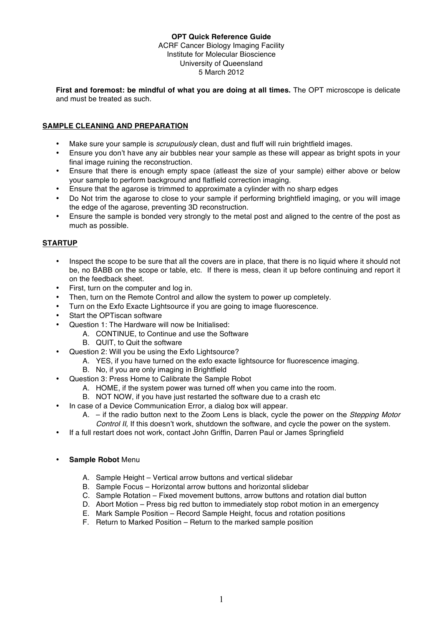# **OPT Quick Reference Guide**

ACRF Cancer Biology Imaging Facility Institute for Molecular Bioscience University of Queensland 5 March 2012

**First and foremost: be mindful of what you are doing at all times.** The OPT microscope is delicate and must be treated as such.

## **SAMPLE CLEANING AND PREPARATION**

- Make sure your sample is *scrupulously* clean, dust and fluff will ruin brightfield images.<br>• Ensure you don't have any air bubbles near your sample as these will appear as brigh
- Ensure you don't have any air bubbles near your sample as these will appear as bright spots in your final image ruining the reconstruction.
- Ensure that there is enough empty space (atleast the size of your sample) either above or below your sample to perform background and flatfield correction imaging.
- Ensure that the agarose is trimmed to approximate a cylinder with no sharp edges
- Do Not trim the agarose to close to your sample if performing brightfield imaging, or you will image the edge of the agarose, preventing 3D reconstruction.
- Ensure the sample is bonded very strongly to the metal post and aligned to the centre of the post as much as possible.

## **STARTUP**

- Inspect the scope to be sure that all the covers are in place, that there is no liquid where it should not be, no BABB on the scope or table, etc. If there is mess, clean it up before continuing and report it on the feedback sheet.
- First, turn on the computer and log in.
- Then, turn on the Remote Control and allow the system to power up completely.
- Turn on the Exfo Exacte Lightsource if you are going to image fluorescence.
- Start the OPTiscan software
- Question 1: The Hardware will now be Initialised:
	- A. CONTINUE, to Continue and use the Software
	- B. QUIT, to Quit the software
- Question 2: Will you be using the Exfo Lightsource?
	- A. YES, if you have turned on the exfo exacte lightsource for fluorescence imaging.
		- B. No, if you are only imaging in Brightfield
- Question 3: Press Home to Calibrate the Sample Robot
	- A. HOME, if the system power was turned off when you came into the room.
	- B. NOT NOW, if you have just restarted the software due to a crash etc
- In case of a Device Communication Error, a dialog box will appear.
	- A. if the radio button next to the Zoom Lens is black, cycle the power on the *Stepping Motor Control II,* If this doesn't work, shutdown the software, and cycle the power on the system.
- If a full restart does not work, contact John Griffin, Darren Paul or James Springfield
- **Sample Robot** Menu
	- A. Sample Height Vertical arrow buttons and vertical slidebar
	- B. Sample Focus Horizontal arrow buttons and horizontal slidebar
	- C. Sample Rotation Fixed movement buttons, arrow buttons and rotation dial button
	- D. Abort Motion Press big red button to immediately stop robot motion in an emergency
	- E. Mark Sample Position Record Sample Height, focus and rotation positions
	- F. Return to Marked Position Return to the marked sample position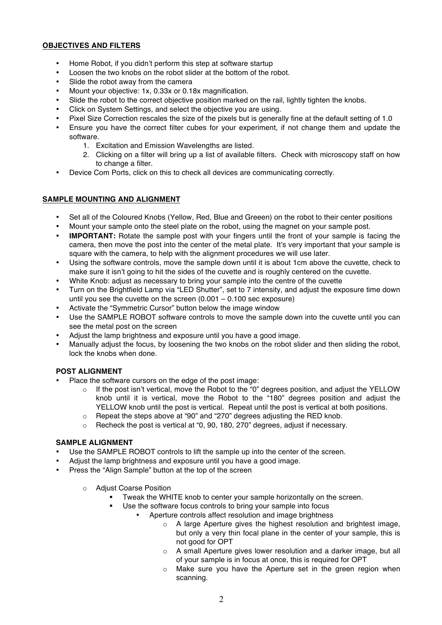## **OBJECTIVES AND FILTERS**

- Home Robot, if you didn't perform this step at software startup
- Loosen the two knobs on the robot slider at the bottom of the robot.
- Slide the robot away from the camera
- Mount your objective: 1x, 0.33x or 0.18x magnification.
- Slide the robot to the correct objective position marked on the rail, lightly tighten the knobs.
- Click on System Settings, and select the objective you are using.
- Pixel Size Correction rescales the size of the pixels but is generally fine at the default setting of 1.0
- Ensure you have the correct filter cubes for your experiment, if not change them and update the software.
	- 1. Excitation and Emission Wavelengths are listed.
	- 2. Clicking on a filter will bring up a list of available filters. Check with microscopy staff on how to change a filter.
- Device Com Ports, click on this to check all devices are communicating correctly.

## **SAMPLE MOUNTING AND ALIGNMENT**

- Set all of the Coloured Knobs (Yellow, Red, Blue and Greeen) on the robot to their center positions
- Mount your sample onto the steel plate on the robot, using the magnet on your sample post.
- **IMPORTANT:** Rotate the sample post with your fingers until the front of your sample is facing the camera, then move the post into the center of the metal plate. It's very important that your sample is square with the camera, to help with the alignment procedures we will use later.
- Using the software controls, move the sample down until it is about 1cm above the cuvette, check to make sure it isn't going to hit the sides of the cuvette and is roughly centered on the cuvette.
- White Knob: adjust as necessary to bring your sample into the centre of the cuvette
- Turn on the Brightfield Lamp via "LED Shutter", set to 7 intensity, and adjust the exposure time down until you see the cuvette on the screen (0.001 – 0.100 sec exposure)
- Activate the "Symmetric Cursor" button below the image window
- Use the SAMPLE ROBOT software controls to move the sample down into the cuvette until you can see the metal post on the screen
- Adjust the lamp brightness and exposure until you have a good image.
- Manually adjust the focus, by loosening the two knobs on the robot slider and then sliding the robot, lock the knobs when done.

## **POST ALIGNMENT**

- Place the software cursors on the edge of the post image:
	- o If the post isn't vertical, move the Robot to the "0" degrees position, and adjust the YELLOW knob until it is vertical, move the Robot to the "180" degrees position and adjust the YELLOW knob until the post is vertical. Repeat until the post is vertical at both positions.
	- o Repeat the steps above at "90" and "270" degrees adjusting the RED knob.
	- $\circ$  Recheck the post is vertical at "0, 90, 180, 270" degrees, adjust if necessary.

#### **SAMPLE ALIGNMENT**

- Use the SAMPLE ROBOT controls to lift the sample up into the center of the screen.
- Adjust the lamp brightness and exposure until you have a good image.
- Press the "Align Sample" button at the top of the screen
	- o Adjust Coarse Position
		- Tweak the WHITE knob to center your sample horizontally on the screen.
		- Use the software focus controls to bring your sample into focus
			- Aperture controls affect resolution and image brightness
				- o A large Aperture gives the highest resolution and brightest image, but only a very thin focal plane in the center of your sample, this is not good for OPT
				- o A small Aperture gives lower resolution and a darker image, but all of your sample is in focus at once, this is required for OPT
				- o Make sure you have the Aperture set in the green region when scanning.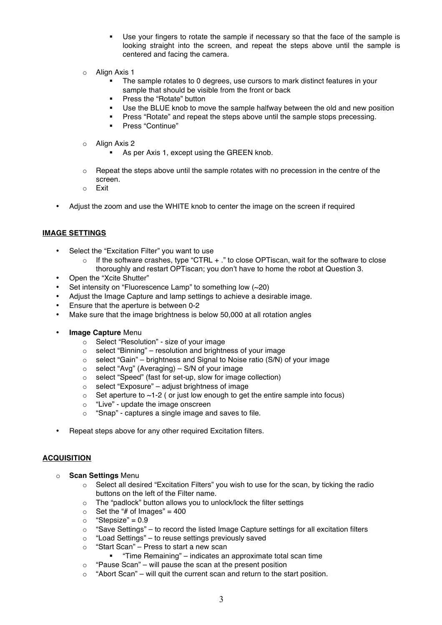- Use your fingers to rotate the sample if necessary so that the face of the sample is looking straight into the screen, and repeat the steps above until the sample is centered and facing the camera.
- o Align Axis 1
	- The sample rotates to 0 degrees, use cursors to mark distinct features in your sample that should be visible from the front or back
	- **Press the "Rotate" button**
	- Use the BLUE knob to move the sample halfway between the old and new position
	- Press "Rotate" and repeat the steps above until the sample stops precessing.
	- **•** Press "Continue"
- o Align Axis 2
	- **As per Axis 1, except using the GREEN knob.**
- $\circ$  Repeat the steps above until the sample rotates with no precession in the centre of the screen.
- o Exit
- Adjust the zoom and use the WHITE knob to center the image on the screen if required

## **IMAGE SETTINGS**

- Select the "Excitation Filter" you want to use
	- $\circ$  If the software crashes, type "CTRL  $+$  ." to close OPTiscan, wait for the software to close thoroughly and restart OPTiscan; you don't have to home the robot at Question 3.
- Open the "Xcite Shutter"
- Set intensity on "Fluorescence Lamp" to something low  $(-20)$
- Adjust the Image Capture and lamp settings to achieve a desirable image.
- Ensure that the aperture is between 0-2
- Make sure that the image brightness is below 50,000 at all rotation angles
- **Image Capture** Menu
	- o Select "Resolution" size of your image
	- o select "Binning" resolution and brightness of your image
	- o select "Gain" brightness and Signal to Noise ratio (S/N) of your image
	- o select "Avg" (Averaging) S/N of your image
	- o select "Speed" (fast for set-up, slow for image collection)
	- o select "Exposure" adjust brightness of image
	- $\circ$  Set aperture to  $\sim$ 1-2 ( or just low enough to get the entire sample into focus)
	- o "Live" update the image onscreen
	- o "Snap" captures a single image and saves to file.
- Repeat steps above for any other required Excitation filters.

## **ACQUISITION**

- o **Scan Settings** Menu
	- $\circ$  Select all desired "Excitation Filters" you wish to use for the scan, by ticking the radio buttons on the left of the Filter name.
	- o The "padlock" button allows you to unlock/lock the filter settings
	- $\circ$  Set the "# of Images" = 400
	- $\circ$  "Stepsize" = 0.9
	- o "Save Settings" to record the listed Image Capture settings for all excitation filters
	- o "Load Settings" to reuse settings previously saved
	- o "Start Scan" Press to start a new scan
		- "Time Remaining" indicates an approximate total scan time
	- $\circ$  "Pause Scan" will pause the scan at the present position
	- o "Abort Scan" will quit the current scan and return to the start position.